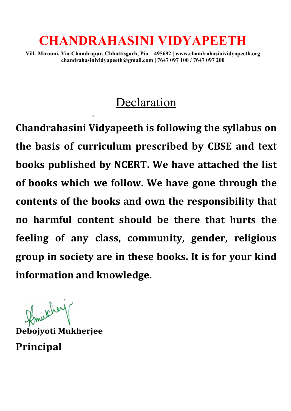# CHANDRAHASINI VIDYAPEETH

Vill- Mirouni, Via-Chandrapur, Chhattisgarh, Pin – 495692 | www.chandrahasinividyapeeth.org chandrahasinividyapeeth@gmail.com | 7647 097 100 / 7647 097 200 chandrahasinividyapeeth@gmail.com chandrahasinividyapeeth@gmail.com | 7647 097 100 / 7647 097 200

## Declaration

Chandrahasini Vidyapeeth is following the syllabus on the basis of curriculum prescribed by CBSE and text the basis of curriculum prescribed by CBSE and text<br>books published by NCERT. We have attached the list of books which we follow. We have gone through the contents of the books and own the responsibility that<br>no harmful content should be there that hurts the no harmful content should be there that hurts the feeling of any class, community, gender, religious feeling of any class, community, gender, religious group in society are in these books. It is for your kind group in society are in these books. It is for your kind information and knowledge. **CHANDRAHASINI VIDYAPEETH**<br>Mirouni, via-Chandrapur, Chhattisgarh, Pin -495692 | www.chandrahasinividyapeeth.org<br>chandrahasinividyapeeth@gmail.com | 7647 097 100/ 7647 097 200<br>**Declaration**<br>drahasini Vidyapeeth is following

Debojyoti Mukherjee Principal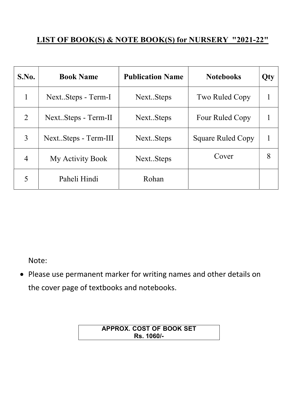#### LIST OF BOOK(S) & NOTE BOOK(S) for NURSERY "2021-22"

| S.No.          | <b>Book Name</b>     | <b>Publication Name</b> | <b>Notebooks</b>         | Qty |
|----------------|----------------------|-------------------------|--------------------------|-----|
|                | NextSteps - Term-I   | NextSteps               | Two Ruled Copy           |     |
| $\overline{2}$ | NextSteps - Term-II  | NextSteps               | Four Ruled Copy          |     |
| 3              | NextSteps - Term-III | NextSteps               | <b>Square Ruled Copy</b> |     |
| $\overline{4}$ | My Activity Book     | NextSteps               | Cover                    | 8   |
|                | Paheli Hindi         | Rohan                   |                          |     |

Note:

 Please use permanent marker for writing names and other details on the cover page of textbooks and notebooks.

> APPROX. COST OF BOOK SET Rs. 1060/-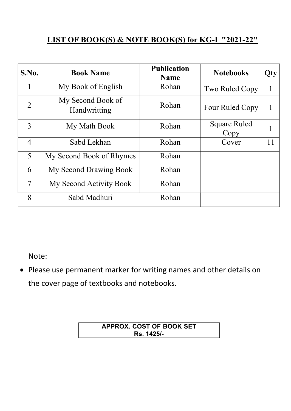#### LIST OF BOOK(S) & NOTE BOOK(S) for KG-I "2021-22"

| S.No.          | <b>Book Name</b>                  | <b>Publication</b><br><b>Name</b> | <b>Notebooks</b>     | Qty |
|----------------|-----------------------------------|-----------------------------------|----------------------|-----|
| 1              | My Book of English                | Rohan                             | Two Ruled Copy       |     |
| $\overline{2}$ | My Second Book of<br>Handwritting | Rohan                             | Four Ruled Copy      |     |
| 3              | My Math Book                      | Rohan                             | Square Ruled<br>Copy |     |
| $\overline{4}$ | Sabd Lekhan                       | Rohan                             | Cover                | 11  |
| 5              | My Second Book of Rhymes          | Rohan                             |                      |     |
| 6              | My Second Drawing Book            | Rohan                             |                      |     |
| $\overline{7}$ | My Second Activity Book           | Rohan                             |                      |     |
| 8              | Sabd Madhuri                      | Rohan                             |                      |     |

Note:

 Please use permanent marker for writing names and other details on the cover page of textbooks and notebooks.

> APPROX. COST OF BOOK SET Rs. 1425/-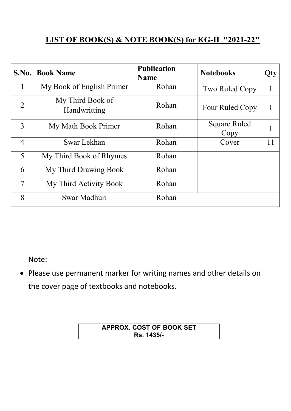### LIST OF BOOK(S) & NOTE BOOK(S) for KG-II "2021-22"

| S.No.          | <b>Book Name</b>                 | <b>Publication</b><br><b>Name</b> | <b>Notebooks</b>            | Qty |
|----------------|----------------------------------|-----------------------------------|-----------------------------|-----|
| 1              | My Book of English Primer        | Rohan                             | Two Ruled Copy              |     |
| $\overline{2}$ | My Third Book of<br>Handwritting | Rohan                             | Four Ruled Copy             |     |
| 3              | My Math Book Primer              | Rohan                             | <b>Square Ruled</b><br>Copy |     |
| $\overline{4}$ | Swar Lekhan                      | Rohan                             | Cover                       | 11  |
| 5              | My Third Book of Rhymes          | Rohan                             |                             |     |
| 6              | My Third Drawing Book            | Rohan                             |                             |     |
| $\overline{7}$ | My Third Activity Book           | Rohan                             |                             |     |
| 8              | Swar Madhuri                     | Rohan                             |                             |     |

Note:

 Please use permanent marker for writing names and other details on the cover page of textbooks and notebooks.

> APPROX. COST OF BOOK SET Rs. 1435/-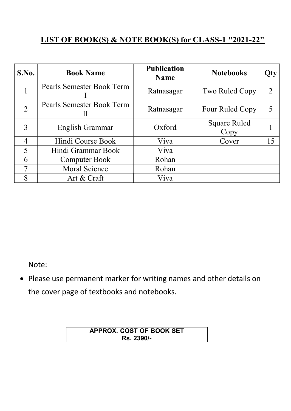#### LIST OF BOOK(S) & NOTE BOOK(S) for CLASS-1 "2021-22"

| S.No.                    | <b>Book Name</b>          | <b>Publication</b><br><b>Name</b> | <b>Notebooks</b>            | Qty |
|--------------------------|---------------------------|-----------------------------------|-----------------------------|-----|
|                          | Pearls Semester Book Term | Ratnasagar                        | Two Ruled Copy              |     |
| $\overline{2}$           | Pearls Semester Book Term | Ratnasagar                        | Four Ruled Copy             |     |
| 3                        | English Grammar           | Oxford                            | <b>Square Ruled</b><br>Copy |     |
| $\overline{4}$           | Hindi Course Book         | Viva                              | Cover                       | 15  |
| $\overline{\mathcal{L}}$ | Hindi Grammar Book        | Viva                              |                             |     |
| 6                        | Computer Book             | Rohan                             |                             |     |
|                          | Moral Science             | Rohan                             |                             |     |
| 8                        | Art & Craft               | Viva                              |                             |     |

Note:

 Please use permanent marker for writing names and other details on the cover page of textbooks and notebooks.

> APPROX. COST OF BOOK SET Rs. 2390/-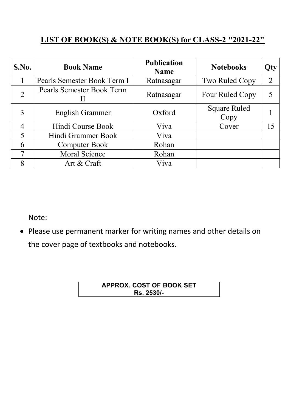### LIST OF BOOK(S) & NOTE BOOK(S) for CLASS-2 "2021-22"

| S.No.          | <b>Book Name</b>            | <b>Publication</b><br><b>Name</b> | <b>Notebooks</b>            | Qty            |
|----------------|-----------------------------|-----------------------------------|-----------------------------|----------------|
|                | Pearls Semester Book Term I | Ratnasagar                        | Two Ruled Copy              | $\overline{2}$ |
| $\overline{2}$ | Pearls Semester Book Term   | Ratnasagar                        | Four Ruled Copy             |                |
| 3              | <b>English Grammer</b>      | Oxford                            | <b>Square Ruled</b><br>Copy |                |
|                | Hindi Course Book           | Viva                              | Cover                       | 15             |
| $\overline{5}$ | Hindi Grammer Book          | Viva                              |                             |                |
| 6              | <b>Computer Book</b>        | Rohan                             |                             |                |
| 7              | <b>Moral Science</b>        | Rohan                             |                             |                |
| 8              | Art & Craft                 | Viva                              |                             |                |

Note:

 Please use permanent marker for writing names and other details on the cover page of textbooks and notebooks.

| <b>APPROX. COST OF BOOK SET</b> |  |
|---------------------------------|--|
| Rs. 2530/-                      |  |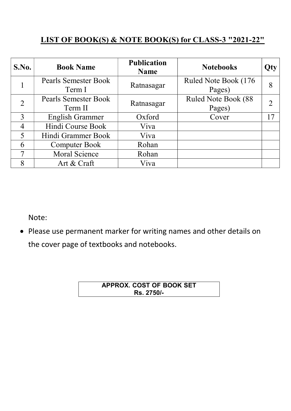### LIST OF BOOK(S) & NOTE BOOK(S) for CLASS-3 "2021-22"

| S.No.          | <b>Book Name</b>            | <b>Publication</b><br><b>Name</b> | <b>Notebooks</b>     | Qty |
|----------------|-----------------------------|-----------------------------------|----------------------|-----|
|                | <b>Pearls Semester Book</b> | Ratnasagar                        | Ruled Note Book (176 | 8   |
|                | Term I                      |                                   | Pages)               |     |
| $\overline{2}$ | <b>Pearls Semester Book</b> | Ratnasagar                        | Ruled Note Book (88  |     |
|                | Term II                     |                                   | Pages)               |     |
| $\mathbf{3}$   | <b>English Grammer</b>      | Oxford                            | Cover                | 17  |
| 4              | Hindi Course Book           | Viva                              |                      |     |
| $\overline{5}$ | Hindi Grammer Book          | Viva                              |                      |     |
| 6              | <b>Computer Book</b>        | Rohan                             |                      |     |
| 7              | Moral Science               | Rohan                             |                      |     |
| 8              | Art & Craft                 | Viva                              |                      |     |

Note:

 Please use permanent marker for writing names and other details on the cover page of textbooks and notebooks.

| <b>APPROX. COST OF BOOK SET</b> |  |
|---------------------------------|--|
| Rs. 2750/-                      |  |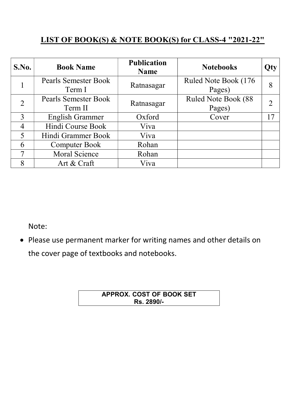#### LIST OF BOOK(S) & NOTE BOOK(S) for CLASS-4 "2021-22"

| S.No.          | <b>Book Name</b>            | <b>Publication</b><br><b>Name</b> | <b>Notebooks</b>     | Qty |
|----------------|-----------------------------|-----------------------------------|----------------------|-----|
|                | <b>Pearls Semester Book</b> | Ratnasagar                        | Ruled Note Book (176 | 8   |
|                | Term I                      |                                   | Pages)               |     |
| $\overline{2}$ | <b>Pearls Semester Book</b> | Ratnasagar                        | Ruled Note Book (88  |     |
|                | Term II                     |                                   | Pages)               |     |
| $\mathbf{3}$   | <b>English Grammer</b>      | Oxford                            | Cover                | 17  |
| 4              | Hindi Course Book           | Viva                              |                      |     |
| $\overline{5}$ | Hindi Grammer Book          | Viva                              |                      |     |
| 6              | <b>Computer Book</b>        | Rohan                             |                      |     |
| 7              | Moral Science               | Rohan                             |                      |     |
| 8              | Art & Craft                 | Viva                              |                      |     |

Note:

 Please use permanent marker for writing names and other details on the cover page of textbooks and notebooks.

#### APPROX. COST OF BOOK SET Rs. 2890/-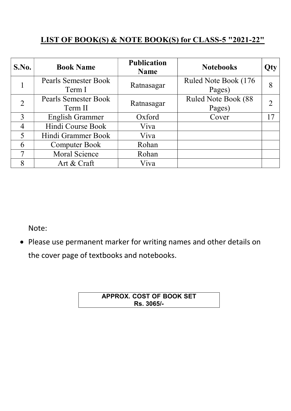### LIST OF BOOK(S) & NOTE BOOK(S) for CLASS-5 "2021-22"

| S.No.          | <b>Book Name</b>            | <b>Publication</b><br><b>Name</b> | <b>Notebooks</b>     | Qty |
|----------------|-----------------------------|-----------------------------------|----------------------|-----|
|                | <b>Pearls Semester Book</b> | Ratnasagar                        | Ruled Note Book (176 | 8   |
|                | Term I                      |                                   | Pages)               |     |
| $\overline{2}$ | <b>Pearls Semester Book</b> | Ratnasagar                        | Ruled Note Book (88  |     |
|                | Term II                     |                                   | Pages)               |     |
| $\mathbf{3}$   | <b>English Grammer</b>      | Oxford                            | Cover                | 17  |
| 4              | Hindi Course Book           | Viva                              |                      |     |
| $\overline{5}$ | Hindi Grammer Book          | Viva                              |                      |     |
| 6              | <b>Computer Book</b>        | Rohan                             |                      |     |
| 7              | Moral Science               | Rohan                             |                      |     |
| 8              | Art & Craft                 | Viva                              |                      |     |

Note:

 Please use permanent marker for writing names and other details on the cover page of textbooks and notebooks.

| APPROX. COST OF BOOK SET |
|--------------------------|
| Rs. 3065/-               |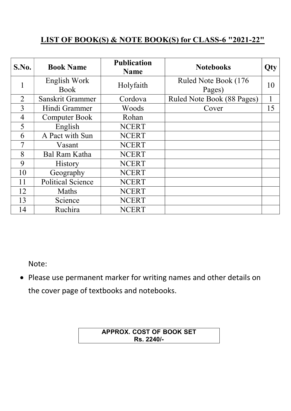#### LIST OF BOOK(S) & NOTE BOOK(S) for CLASS-6 "2021-22"

| S.No.          | <b>Book Name</b>            | <b>Publication</b><br><b>Name</b> | <b>Notebooks</b>               | Qty |
|----------------|-----------------------------|-----------------------------------|--------------------------------|-----|
|                | English Work<br><b>Book</b> | Holyfaith                         | Ruled Note Book (176<br>Pages) | 10  |
| $\overline{2}$ | Sanskrit Grammer            | Cordova                           | Ruled Note Book (88 Pages)     |     |
| 3              | Hindi Grammer               | Woods                             | Cover                          | 15  |
| $\overline{4}$ | <b>Computer Book</b>        | Rohan                             |                                |     |
| 5              | English                     | <b>NCERT</b>                      |                                |     |
| 6              | A Pact with Sun             | <b>NCERT</b>                      |                                |     |
| 7              | Vasant                      | <b>NCERT</b>                      |                                |     |
| 8              | <b>Bal Ram Katha</b>        | <b>NCERT</b>                      |                                |     |
| 9              | <b>History</b>              | <b>NCERT</b>                      |                                |     |
| 10             | Geography                   | <b>NCERT</b>                      |                                |     |
| 11             | <b>Political Science</b>    | <b>NCERT</b>                      |                                |     |
| 12             | Maths                       | <b>NCERT</b>                      |                                |     |
| 13             | Science                     | <b>NCERT</b>                      |                                |     |
| 14             | Ruchira                     | <b>NCERT</b>                      |                                |     |

Note:

 Please use permanent marker for writing names and other details on the cover page of textbooks and notebooks.

> APPROX. COST OF BOOK SET Rs. 2240/-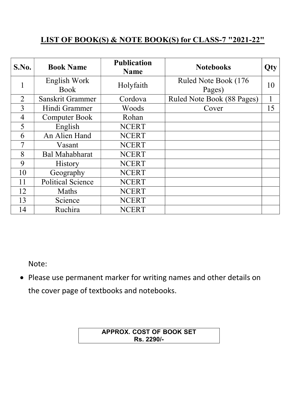#### LIST OF BOOK(S) & NOTE BOOK(S) for CLASS-7 "2021-22"

| S.No.          | <b>Book Name</b>            | <b>Publication</b><br><b>Name</b> | <b>Notebooks</b>               | Qty |
|----------------|-----------------------------|-----------------------------------|--------------------------------|-----|
|                | English Work<br><b>Book</b> | Holyfaith                         | Ruled Note Book (176<br>Pages) | 10  |
| $\overline{2}$ | Sanskrit Grammer            | Cordova                           | Ruled Note Book (88 Pages)     |     |
| 3              | Hindi Grammer               | Woods                             | Cover                          | 15  |
| $\overline{4}$ | <b>Computer Book</b>        | Rohan                             |                                |     |
| 5              | English                     | <b>NCERT</b>                      |                                |     |
| 6              | An Alien Hand               | <b>NCERT</b>                      |                                |     |
| 7              | Vasant                      | <b>NCERT</b>                      |                                |     |
| 8              | <b>Bal Mahabharat</b>       | <b>NCERT</b>                      |                                |     |
| 9              | <b>History</b>              | <b>NCERT</b>                      |                                |     |
| 10             | Geography                   | <b>NCERT</b>                      |                                |     |
| 11             | <b>Political Science</b>    | <b>NCERT</b>                      |                                |     |
| 12             | Maths                       | <b>NCERT</b>                      |                                |     |
| 13             | Science                     | <b>NCERT</b>                      |                                |     |
| 14             | Ruchira                     | <b>NCERT</b>                      |                                |     |

Note:

 Please use permanent marker for writing names and other details on the cover page of textbooks and notebooks.

> APPROX. COST OF BOOK SET Rs. 2290/-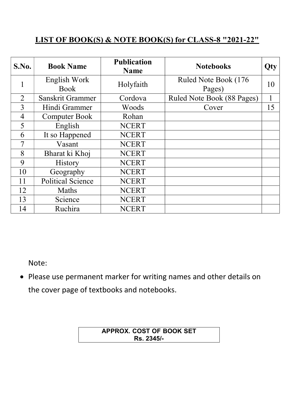#### LIST OF BOOK(S) & NOTE BOOK(S) for CLASS-8 "2021-22"

| S.No.          | <b>Book Name</b>            | <b>Publication</b><br><b>Name</b> | <b>Notebooks</b>               | Qty |
|----------------|-----------------------------|-----------------------------------|--------------------------------|-----|
|                | English Work<br><b>Book</b> | Holyfaith                         | Ruled Note Book (176<br>Pages) | 10  |
| $\overline{2}$ | Sanskrit Grammer            | Cordova                           | Ruled Note Book (88 Pages)     |     |
| 3              | Hindi Grammer               | Woods                             | Cover                          | 15  |
| $\overline{4}$ | <b>Computer Book</b>        | Rohan                             |                                |     |
| 5              | English                     | <b>NCERT</b>                      |                                |     |
| 6              | It so Happened              | <b>NCERT</b>                      |                                |     |
| 7              | Vasant                      | <b>NCERT</b>                      |                                |     |
| 8              | Bharat ki Khoj              | <b>NCERT</b>                      |                                |     |
| 9              | <b>History</b>              | <b>NCERT</b>                      |                                |     |
| 10             | Geography                   | <b>NCERT</b>                      |                                |     |
| 11             | <b>Political Science</b>    | <b>NCERT</b>                      |                                |     |
| 12             | Maths                       | <b>NCERT</b>                      |                                |     |
| 13             | Science                     | <b>NCERT</b>                      |                                |     |
| 14             | Ruchira                     | <b>NCERT</b>                      |                                |     |

Note:

 Please use permanent marker for writing names and other details on the cover page of textbooks and notebooks.

> APPROX. COST OF BOOK SET Rs. 2345/-